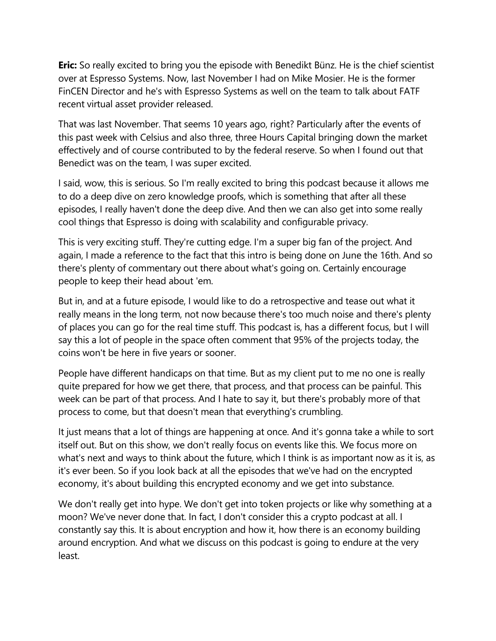**Eric:** So really excited to bring you the episode with Benedikt Bünz. He is the chief scientist over at Espresso Systems. Now, last November I had on Mike Mosier. He is the former FinCEN Director and he's with Espresso Systems as well on the team to talk about FATF recent virtual asset provider released.

That was last November. That seems 10 years ago, right? Particularly after the events of this past week with Celsius and also three, three Hours Capital bringing down the market effectively and of course contributed to by the federal reserve. So when I found out that Benedict was on the team, I was super excited.

I said, wow, this is serious. So I'm really excited to bring this podcast because it allows me to do a deep dive on zero knowledge proofs, which is something that after all these episodes, I really haven't done the deep dive. And then we can also get into some really cool things that Espresso is doing with scalability and configurable privacy.

This is very exciting stuff. They're cutting edge. I'm a super big fan of the project. And again, I made a reference to the fact that this intro is being done on June the 16th. And so there's plenty of commentary out there about what's going on. Certainly encourage people to keep their head about 'em.

But in, and at a future episode, I would like to do a retrospective and tease out what it really means in the long term, not now because there's too much noise and there's plenty of places you can go for the real time stuff. This podcast is, has a different focus, but I will say this a lot of people in the space often comment that 95% of the projects today, the coins won't be here in five years or sooner.

People have different handicaps on that time. But as my client put to me no one is really quite prepared for how we get there, that process, and that process can be painful. This week can be part of that process. And I hate to say it, but there's probably more of that process to come, but that doesn't mean that everything's crumbling.

It just means that a lot of things are happening at once. And it's gonna take a while to sort itself out. But on this show, we don't really focus on events like this. We focus more on what's next and ways to think about the future, which I think is as important now as it is, as it's ever been. So if you look back at all the episodes that we've had on the encrypted economy, it's about building this encrypted economy and we get into substance.

We don't really get into hype. We don't get into token projects or like why something at a moon? We've never done that. In fact, I don't consider this a crypto podcast at all. I constantly say this. It is about encryption and how it, how there is an economy building around encryption. And what we discuss on this podcast is going to endure at the very least.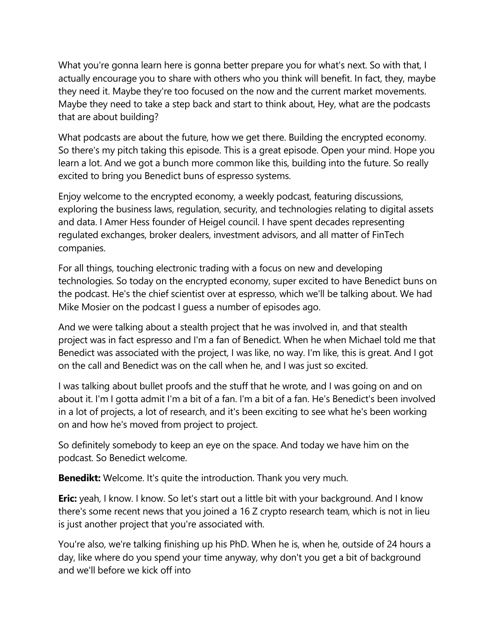What you're gonna learn here is gonna better prepare you for what's next. So with that, I actually encourage you to share with others who you think will benefit. In fact, they, maybe they need it. Maybe they're too focused on the now and the current market movements. Maybe they need to take a step back and start to think about, Hey, what are the podcasts that are about building?

What podcasts are about the future, how we get there. Building the encrypted economy. So there's my pitch taking this episode. This is a great episode. Open your mind. Hope you learn a lot. And we got a bunch more common like this, building into the future. So really excited to bring you Benedict buns of espresso systems.

Enjoy welcome to the encrypted economy, a weekly podcast, featuring discussions, exploring the business laws, regulation, security, and technologies relating to digital assets and data. I Amer Hess founder of Heigel council. I have spent decades representing regulated exchanges, broker dealers, investment advisors, and all matter of FinTech companies.

For all things, touching electronic trading with a focus on new and developing technologies. So today on the encrypted economy, super excited to have Benedict buns on the podcast. He's the chief scientist over at espresso, which we'll be talking about. We had Mike Mosier on the podcast I guess a number of episodes ago.

And we were talking about a stealth project that he was involved in, and that stealth project was in fact espresso and I'm a fan of Benedict. When he when Michael told me that Benedict was associated with the project, I was like, no way. I'm like, this is great. And I got on the call and Benedict was on the call when he, and I was just so excited.

I was talking about bullet proofs and the stuff that he wrote, and I was going on and on about it. I'm I gotta admit I'm a bit of a fan. I'm a bit of a fan. He's Benedict's been involved in a lot of projects, a lot of research, and it's been exciting to see what he's been working on and how he's moved from project to project.

So definitely somebody to keep an eye on the space. And today we have him on the podcast. So Benedict welcome.

**Benedikt:** Welcome. It's quite the introduction. Thank you very much.

**Eric:** yeah, I know. I know. So let's start out a little bit with your background. And I know there's some recent news that you joined a 16 Z crypto research team, which is not in lieu is just another project that you're associated with.

You're also, we're talking finishing up his PhD. When he is, when he, outside of 24 hours a day, like where do you spend your time anyway, why don't you get a bit of background and we'll before we kick off into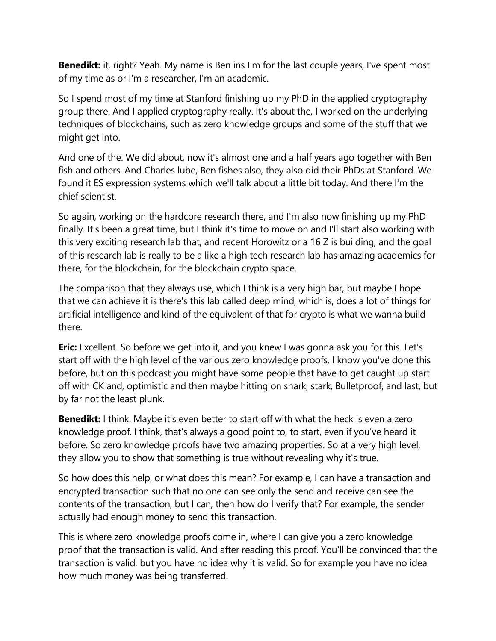**Benedikt:** it, right? Yeah. My name is Ben ins I'm for the last couple years, I've spent most of my time as or I'm a researcher, I'm an academic.

So I spend most of my time at Stanford finishing up my PhD in the applied cryptography group there. And I applied cryptography really. It's about the, I worked on the underlying techniques of blockchains, such as zero knowledge groups and some of the stuff that we might get into.

And one of the. We did about, now it's almost one and a half years ago together with Ben fish and others. And Charles lube, Ben fishes also, they also did their PhDs at Stanford. We found it ES expression systems which we'll talk about a little bit today. And there I'm the chief scientist.

So again, working on the hardcore research there, and I'm also now finishing up my PhD finally. It's been a great time, but I think it's time to move on and I'll start also working with this very exciting research lab that, and recent Horowitz or a 16 Z is building, and the goal of this research lab is really to be a like a high tech research lab has amazing academics for there, for the blockchain, for the blockchain crypto space.

The comparison that they always use, which I think is a very high bar, but maybe I hope that we can achieve it is there's this lab called deep mind, which is, does a lot of things for artificial intelligence and kind of the equivalent of that for crypto is what we wanna build there.

**Eric:** Excellent. So before we get into it, and you knew I was gonna ask you for this. Let's start off with the high level of the various zero knowledge proofs, I know you've done this before, but on this podcast you might have some people that have to get caught up start off with CK and, optimistic and then maybe hitting on snark, stark, Bulletproof, and last, but by far not the least plunk.

**Benedikt:** I think. Maybe it's even better to start off with what the heck is even a zero knowledge proof. I think, that's always a good point to, to start, even if you've heard it before. So zero knowledge proofs have two amazing properties. So at a very high level, they allow you to show that something is true without revealing why it's true.

So how does this help, or what does this mean? For example, I can have a transaction and encrypted transaction such that no one can see only the send and receive can see the contents of the transaction, but I can, then how do I verify that? For example, the sender actually had enough money to send this transaction.

This is where zero knowledge proofs come in, where I can give you a zero knowledge proof that the transaction is valid. And after reading this proof. You'll be convinced that the transaction is valid, but you have no idea why it is valid. So for example you have no idea how much money was being transferred.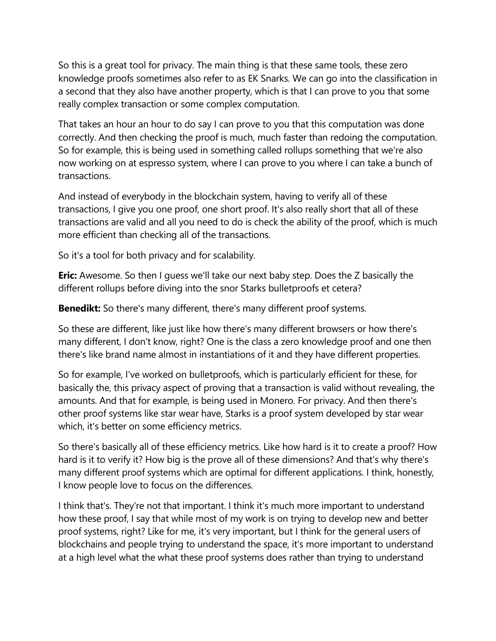So this is a great tool for privacy. The main thing is that these same tools, these zero knowledge proofs sometimes also refer to as EK Snarks. We can go into the classification in a second that they also have another property, which is that I can prove to you that some really complex transaction or some complex computation.

That takes an hour an hour to do say I can prove to you that this computation was done correctly. And then checking the proof is much, much faster than redoing the computation. So for example, this is being used in something called rollups something that we're also now working on at espresso system, where I can prove to you where I can take a bunch of transactions.

And instead of everybody in the blockchain system, having to verify all of these transactions, I give you one proof, one short proof. It's also really short that all of these transactions are valid and all you need to do is check the ability of the proof, which is much more efficient than checking all of the transactions.

So it's a tool for both privacy and for scalability.

**Eric:** Awesome. So then I guess we'll take our next baby step. Does the Z basically the different rollups before diving into the snor Starks bulletproofs et cetera?

**Benedikt:** So there's many different, there's many different proof systems.

So these are different, like just like how there's many different browsers or how there's many different, I don't know, right? One is the class a zero knowledge proof and one then there's like brand name almost in instantiations of it and they have different properties.

So for example, I've worked on bulletproofs, which is particularly efficient for these, for basically the, this privacy aspect of proving that a transaction is valid without revealing, the amounts. And that for example, is being used in Monero. For privacy. And then there's other proof systems like star wear have, Starks is a proof system developed by star wear which, it's better on some efficiency metrics.

So there's basically all of these efficiency metrics. Like how hard is it to create a proof? How hard is it to verify it? How big is the prove all of these dimensions? And that's why there's many different proof systems which are optimal for different applications. I think, honestly, I know people love to focus on the differences.

I think that's. They're not that important. I think it's much more important to understand how these proof, I say that while most of my work is on trying to develop new and better proof systems, right? Like for me, it's very important, but I think for the general users of blockchains and people trying to understand the space, it's more important to understand at a high level what the what these proof systems does rather than trying to understand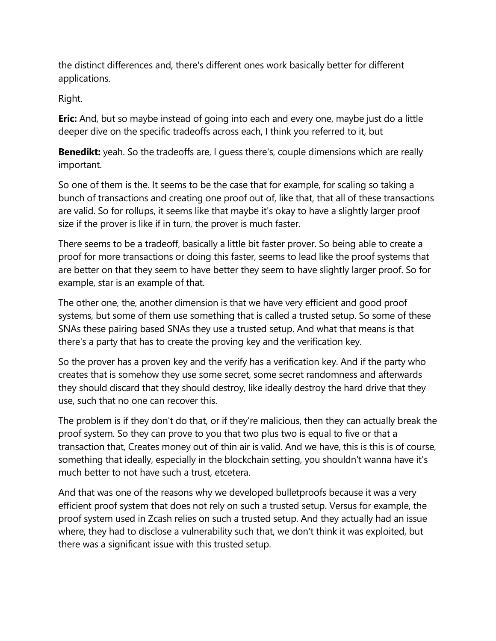the distinct differences and, there's different ones work basically better for different applications.

Right.

**Eric:** And, but so maybe instead of going into each and every one, maybe just do a little deeper dive on the specific tradeoffs across each, I think you referred to it, but

**Benedikt:** yeah. So the tradeoffs are, I guess there's, couple dimensions which are really important.

So one of them is the. It seems to be the case that for example, for scaling so taking a bunch of transactions and creating one proof out of, like that, that all of these transactions are valid. So for rollups, it seems like that maybe it's okay to have a slightly larger proof size if the prover is like if in turn, the prover is much faster.

There seems to be a tradeoff, basically a little bit faster prover. So being able to create a proof for more transactions or doing this faster, seems to lead like the proof systems that are better on that they seem to have better they seem to have slightly larger proof. So for example, star is an example of that.

The other one, the, another dimension is that we have very efficient and good proof systems, but some of them use something that is called a trusted setup. So some of these SNAs these pairing based SNAs they use a trusted setup. And what that means is that there's a party that has to create the proving key and the verification key.

So the prover has a proven key and the verify has a verification key. And if the party who creates that is somehow they use some secret, some secret randomness and afterwards they should discard that they should destroy, like ideally destroy the hard drive that they use, such that no one can recover this.

The problem is if they don't do that, or if they're malicious, then they can actually break the proof system. So they can prove to you that two plus two is equal to five or that a transaction that, Creates money out of thin air is valid. And we have, this is this is of course, something that ideally, especially in the blockchain setting, you shouldn't wanna have it's much better to not have such a trust, etcetera.

And that was one of the reasons why we developed bulletproofs because it was a very efficient proof system that does not rely on such a trusted setup. Versus for example, the proof system used in Zcash relies on such a trusted setup. And they actually had an issue where, they had to disclose a vulnerability such that, we don't think it was exploited, but there was a significant issue with this trusted setup.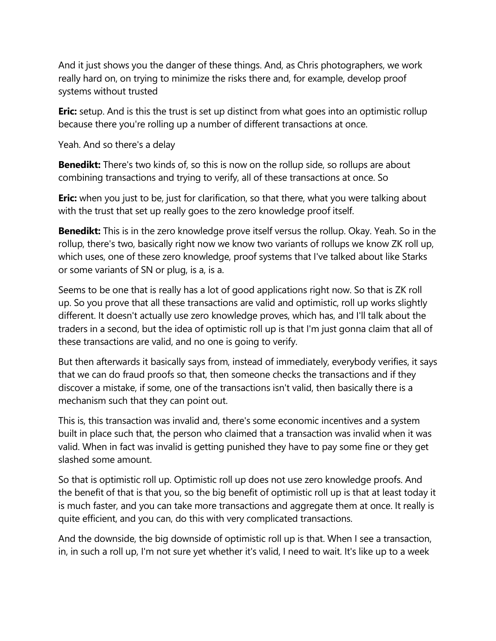And it just shows you the danger of these things. And, as Chris photographers, we work really hard on, on trying to minimize the risks there and, for example, develop proof systems without trusted

**Eric:** setup. And is this the trust is set up distinct from what goes into an optimistic rollup because there you're rolling up a number of different transactions at once.

Yeah. And so there's a delay

**Benedikt:** There's two kinds of, so this is now on the rollup side, so rollups are about combining transactions and trying to verify, all of these transactions at once. So

**Eric:** when you just to be, just for clarification, so that there, what you were talking about with the trust that set up really goes to the zero knowledge proof itself.

**Benedikt:** This is in the zero knowledge prove itself versus the rollup. Okay. Yeah. So in the rollup, there's two, basically right now we know two variants of rollups we know ZK roll up, which uses, one of these zero knowledge, proof systems that I've talked about like Starks or some variants of SN or plug, is a, is a.

Seems to be one that is really has a lot of good applications right now. So that is ZK roll up. So you prove that all these transactions are valid and optimistic, roll up works slightly different. It doesn't actually use zero knowledge proves, which has, and I'll talk about the traders in a second, but the idea of optimistic roll up is that I'm just gonna claim that all of these transactions are valid, and no one is going to verify.

But then afterwards it basically says from, instead of immediately, everybody verifies, it says that we can do fraud proofs so that, then someone checks the transactions and if they discover a mistake, if some, one of the transactions isn't valid, then basically there is a mechanism such that they can point out.

This is, this transaction was invalid and, there's some economic incentives and a system built in place such that, the person who claimed that a transaction was invalid when it was valid. When in fact was invalid is getting punished they have to pay some fine or they get slashed some amount.

So that is optimistic roll up. Optimistic roll up does not use zero knowledge proofs. And the benefit of that is that you, so the big benefit of optimistic roll up is that at least today it is much faster, and you can take more transactions and aggregate them at once. It really is quite efficient, and you can, do this with very complicated transactions.

And the downside, the big downside of optimistic roll up is that. When I see a transaction, in, in such a roll up, I'm not sure yet whether it's valid, I need to wait. It's like up to a week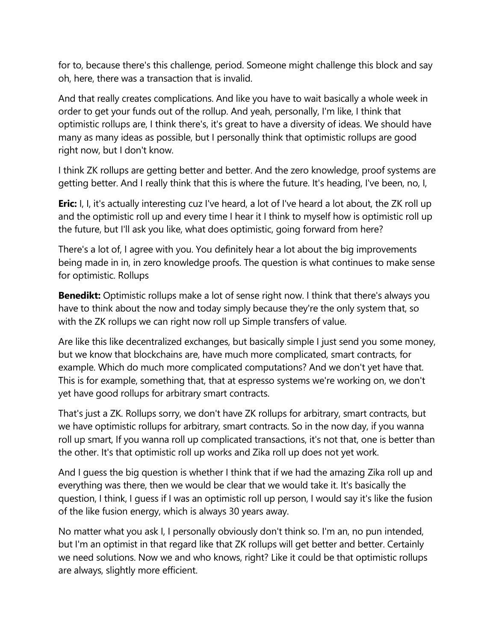for to, because there's this challenge, period. Someone might challenge this block and say oh, here, there was a transaction that is invalid.

And that really creates complications. And like you have to wait basically a whole week in order to get your funds out of the rollup. And yeah, personally, I'm like, I think that optimistic rollups are, I think there's, it's great to have a diversity of ideas. We should have many as many ideas as possible, but I personally think that optimistic rollups are good right now, but I don't know.

I think ZK rollups are getting better and better. And the zero knowledge, proof systems are getting better. And I really think that this is where the future. It's heading, I've been, no, I,

**Eric:** I, I, it's actually interesting cuz I've heard, a lot of I've heard a lot about, the ZK roll up and the optimistic roll up and every time I hear it I think to myself how is optimistic roll up the future, but I'll ask you like, what does optimistic, going forward from here?

There's a lot of, I agree with you. You definitely hear a lot about the big improvements being made in in, in zero knowledge proofs. The question is what continues to make sense for optimistic. Rollups

**Benedikt:** Optimistic rollups make a lot of sense right now. I think that there's always you have to think about the now and today simply because they're the only system that, so with the ZK rollups we can right now roll up Simple transfers of value.

Are like this like decentralized exchanges, but basically simple I just send you some money, but we know that blockchains are, have much more complicated, smart contracts, for example. Which do much more complicated computations? And we don't yet have that. This is for example, something that, that at espresso systems we're working on, we don't yet have good rollups for arbitrary smart contracts.

That's just a ZK. Rollups sorry, we don't have ZK rollups for arbitrary, smart contracts, but we have optimistic rollups for arbitrary, smart contracts. So in the now day, if you wanna roll up smart, If you wanna roll up complicated transactions, it's not that, one is better than the other. It's that optimistic roll up works and Zika roll up does not yet work.

And I guess the big question is whether I think that if we had the amazing Zika roll up and everything was there, then we would be clear that we would take it. It's basically the question, I think, I guess if I was an optimistic roll up person, I would say it's like the fusion of the like fusion energy, which is always 30 years away.

No matter what you ask I, I personally obviously don't think so. I'm an, no pun intended, but I'm an optimist in that regard like that ZK rollups will get better and better. Certainly we need solutions. Now we and who knows, right? Like it could be that optimistic rollups are always, slightly more efficient.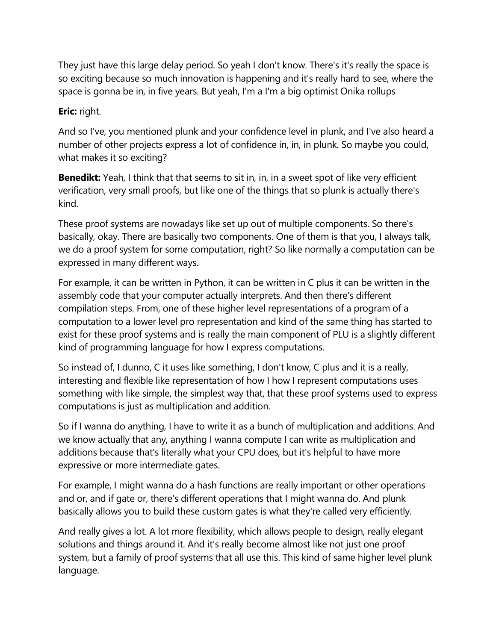They just have this large delay period. So yeah I don't know. There's it's really the space is so exciting because so much innovation is happening and it's really hard to see, where the space is gonna be in, in five years. But yeah, I'm a I'm a big optimist Onika rollups

## **Eric:** right.

And so I've, you mentioned plunk and your confidence level in plunk, and I've also heard a number of other projects express a lot of confidence in, in, in plunk. So maybe you could, what makes it so exciting?

**Benedikt:** Yeah, I think that that seems to sit in, in, in a sweet spot of like very efficient verification, very small proofs, but like one of the things that so plunk is actually there's kind.

These proof systems are nowadays like set up out of multiple components. So there's basically, okay. There are basically two components. One of them is that you, I always talk, we do a proof system for some computation, right? So like normally a computation can be expressed in many different ways.

For example, it can be written in Python, it can be written in C plus it can be written in the assembly code that your computer actually interprets. And then there's different compilation steps. From, one of these higher level representations of a program of a computation to a lower level pro representation and kind of the same thing has started to exist for these proof systems and is really the main component of PLU is a slightly different kind of programming language for how I express computations.

So instead of, I dunno, C it uses like something, I don't know, C plus and it is a really, interesting and flexible like representation of how I how I represent computations uses something with like simple, the simplest way that, that these proof systems used to express computations is just as multiplication and addition.

So if I wanna do anything, I have to write it as a bunch of multiplication and additions. And we know actually that any, anything I wanna compute I can write as multiplication and additions because that's literally what your CPU does, but it's helpful to have more expressive or more intermediate gates.

For example, I might wanna do a hash functions are really important or other operations and or, and if gate or, there's different operations that I might wanna do. And plunk basically allows you to build these custom gates is what they're called very efficiently.

And really gives a lot. A lot more flexibility, which allows people to design, really elegant solutions and things around it. And it's really become almost like not just one proof system, but a family of proof systems that all use this. This kind of same higher level plunk language.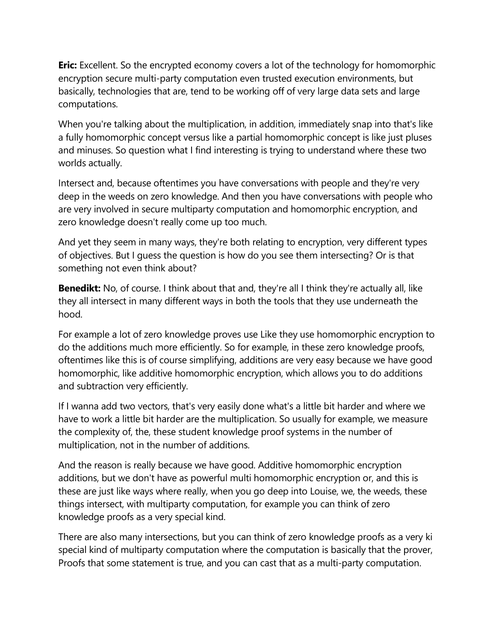**Eric:** Excellent. So the encrypted economy covers a lot of the technology for homomorphic encryption secure multi-party computation even trusted execution environments, but basically, technologies that are, tend to be working off of very large data sets and large computations.

When you're talking about the multiplication, in addition, immediately snap into that's like a fully homomorphic concept versus like a partial homomorphic concept is like just pluses and minuses. So question what I find interesting is trying to understand where these two worlds actually.

Intersect and, because oftentimes you have conversations with people and they're very deep in the weeds on zero knowledge. And then you have conversations with people who are very involved in secure multiparty computation and homomorphic encryption, and zero knowledge doesn't really come up too much.

And yet they seem in many ways, they're both relating to encryption, very different types of objectives. But I guess the question is how do you see them intersecting? Or is that something not even think about?

**Benedikt:** No, of course. I think about that and, they're all I think they're actually all, like they all intersect in many different ways in both the tools that they use underneath the hood.

For example a lot of zero knowledge proves use Like they use homomorphic encryption to do the additions much more efficiently. So for example, in these zero knowledge proofs, oftentimes like this is of course simplifying, additions are very easy because we have good homomorphic, like additive homomorphic encryption, which allows you to do additions and subtraction very efficiently.

If I wanna add two vectors, that's very easily done what's a little bit harder and where we have to work a little bit harder are the multiplication. So usually for example, we measure the complexity of, the, these student knowledge proof systems in the number of multiplication, not in the number of additions.

And the reason is really because we have good. Additive homomorphic encryption additions, but we don't have as powerful multi homomorphic encryption or, and this is these are just like ways where really, when you go deep into Louise, we, the weeds, these things intersect, with multiparty computation, for example you can think of zero knowledge proofs as a very special kind.

There are also many intersections, but you can think of zero knowledge proofs as a very ki special kind of multiparty computation where the computation is basically that the prover, Proofs that some statement is true, and you can cast that as a multi-party computation.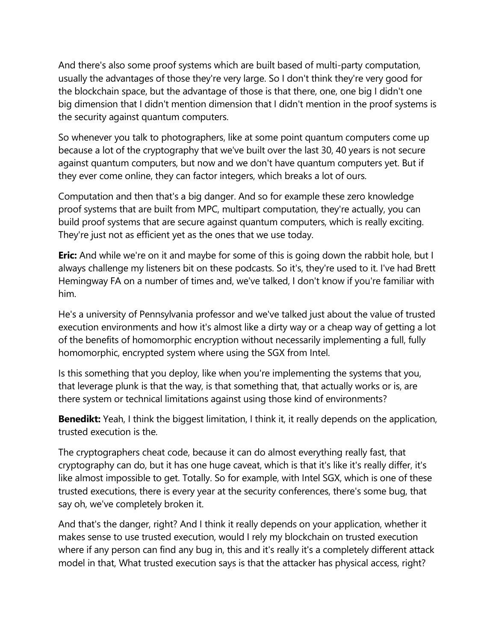And there's also some proof systems which are built based of multi-party computation, usually the advantages of those they're very large. So I don't think they're very good for the blockchain space, but the advantage of those is that there, one, one big I didn't one big dimension that I didn't mention dimension that I didn't mention in the proof systems is the security against quantum computers.

So whenever you talk to photographers, like at some point quantum computers come up because a lot of the cryptography that we've built over the last 30, 40 years is not secure against quantum computers, but now and we don't have quantum computers yet. But if they ever come online, they can factor integers, which breaks a lot of ours.

Computation and then that's a big danger. And so for example these zero knowledge proof systems that are built from MPC, multipart computation, they're actually, you can build proof systems that are secure against quantum computers, which is really exciting. They're just not as efficient yet as the ones that we use today.

**Eric:** And while we're on it and maybe for some of this is going down the rabbit hole, but I always challenge my listeners bit on these podcasts. So it's, they're used to it. I've had Brett Hemingway FA on a number of times and, we've talked, I don't know if you're familiar with him.

He's a university of Pennsylvania professor and we've talked just about the value of trusted execution environments and how it's almost like a dirty way or a cheap way of getting a lot of the benefits of homomorphic encryption without necessarily implementing a full, fully homomorphic, encrypted system where using the SGX from Intel.

Is this something that you deploy, like when you're implementing the systems that you, that leverage plunk is that the way, is that something that, that actually works or is, are there system or technical limitations against using those kind of environments?

**Benedikt:** Yeah, I think the biggest limitation, I think it, it really depends on the application, trusted execution is the.

The cryptographers cheat code, because it can do almost everything really fast, that cryptography can do, but it has one huge caveat, which is that it's like it's really differ, it's like almost impossible to get. Totally. So for example, with Intel SGX, which is one of these trusted executions, there is every year at the security conferences, there's some bug, that say oh, we've completely broken it.

And that's the danger, right? And I think it really depends on your application, whether it makes sense to use trusted execution, would I rely my blockchain on trusted execution where if any person can find any bug in, this and it's really it's a completely different attack model in that, What trusted execution says is that the attacker has physical access, right?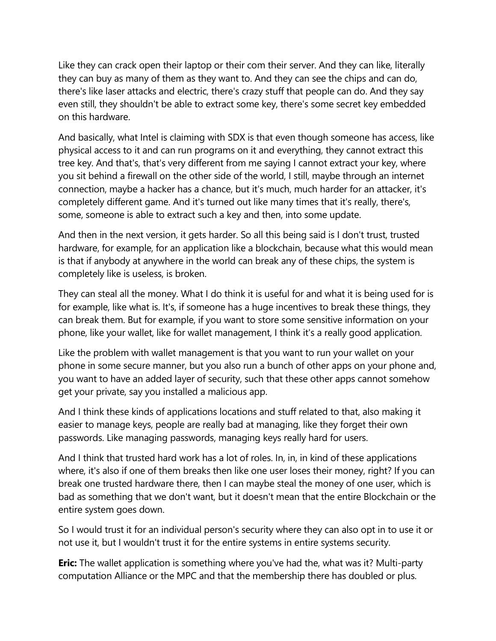Like they can crack open their laptop or their com their server. And they can like, literally they can buy as many of them as they want to. And they can see the chips and can do, there's like laser attacks and electric, there's crazy stuff that people can do. And they say even still, they shouldn't be able to extract some key, there's some secret key embedded on this hardware.

And basically, what Intel is claiming with SDX is that even though someone has access, like physical access to it and can run programs on it and everything, they cannot extract this tree key. And that's, that's very different from me saying I cannot extract your key, where you sit behind a firewall on the other side of the world, I still, maybe through an internet connection, maybe a hacker has a chance, but it's much, much harder for an attacker, it's completely different game. And it's turned out like many times that it's really, there's, some, someone is able to extract such a key and then, into some update.

And then in the next version, it gets harder. So all this being said is I don't trust, trusted hardware, for example, for an application like a blockchain, because what this would mean is that if anybody at anywhere in the world can break any of these chips, the system is completely like is useless, is broken.

They can steal all the money. What I do think it is useful for and what it is being used for is for example, like what is. It's, if someone has a huge incentives to break these things, they can break them. But for example, if you want to store some sensitive information on your phone, like your wallet, like for wallet management, I think it's a really good application.

Like the problem with wallet management is that you want to run your wallet on your phone in some secure manner, but you also run a bunch of other apps on your phone and, you want to have an added layer of security, such that these other apps cannot somehow get your private, say you installed a malicious app.

And I think these kinds of applications locations and stuff related to that, also making it easier to manage keys, people are really bad at managing, like they forget their own passwords. Like managing passwords, managing keys really hard for users.

And I think that trusted hard work has a lot of roles. In, in, in kind of these applications where, it's also if one of them breaks then like one user loses their money, right? If you can break one trusted hardware there, then I can maybe steal the money of one user, which is bad as something that we don't want, but it doesn't mean that the entire Blockchain or the entire system goes down.

So I would trust it for an individual person's security where they can also opt in to use it or not use it, but I wouldn't trust it for the entire systems in entire systems security.

**Eric:** The wallet application is something where you've had the, what was it? Multi-party computation Alliance or the MPC and that the membership there has doubled or plus.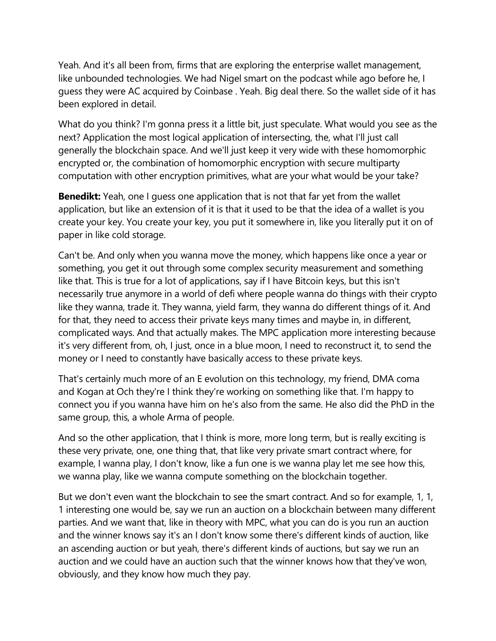Yeah. And it's all been from, firms that are exploring the enterprise wallet management, like unbounded technologies. We had Nigel smart on the podcast while ago before he, I guess they were AC acquired by Coinbase . Yeah. Big deal there. So the wallet side of it has been explored in detail.

What do you think? I'm gonna press it a little bit, just speculate. What would you see as the next? Application the most logical application of intersecting, the, what I'll just call generally the blockchain space. And we'll just keep it very wide with these homomorphic encrypted or, the combination of homomorphic encryption with secure multiparty computation with other encryption primitives, what are your what would be your take?

**Benedikt:** Yeah, one I guess one application that is not that far yet from the wallet application, but like an extension of it is that it used to be that the idea of a wallet is you create your key. You create your key, you put it somewhere in, like you literally put it on of paper in like cold storage.

Can't be. And only when you wanna move the money, which happens like once a year or something, you get it out through some complex security measurement and something like that. This is true for a lot of applications, say if I have Bitcoin keys, but this isn't necessarily true anymore in a world of defi where people wanna do things with their crypto like they wanna, trade it. They wanna, yield farm, they wanna do different things of it. And for that, they need to access their private keys many times and maybe in, in different, complicated ways. And that actually makes. The MPC application more interesting because it's very different from, oh, I just, once in a blue moon, I need to reconstruct it, to send the money or I need to constantly have basically access to these private keys.

That's certainly much more of an E evolution on this technology, my friend, DMA coma and Kogan at Och they're I think they're working on something like that. I'm happy to connect you if you wanna have him on he's also from the same. He also did the PhD in the same group, this, a whole Arma of people.

And so the other application, that I think is more, more long term, but is really exciting is these very private, one, one thing that, that like very private smart contract where, for example, I wanna play, I don't know, like a fun one is we wanna play let me see how this, we wanna play, like we wanna compute something on the blockchain together.

But we don't even want the blockchain to see the smart contract. And so for example, 1, 1, 1 interesting one would be, say we run an auction on a blockchain between many different parties. And we want that, like in theory with MPC, what you can do is you run an auction and the winner knows say it's an I don't know some there's different kinds of auction, like an ascending auction or but yeah, there's different kinds of auctions, but say we run an auction and we could have an auction such that the winner knows how that they've won, obviously, and they know how much they pay.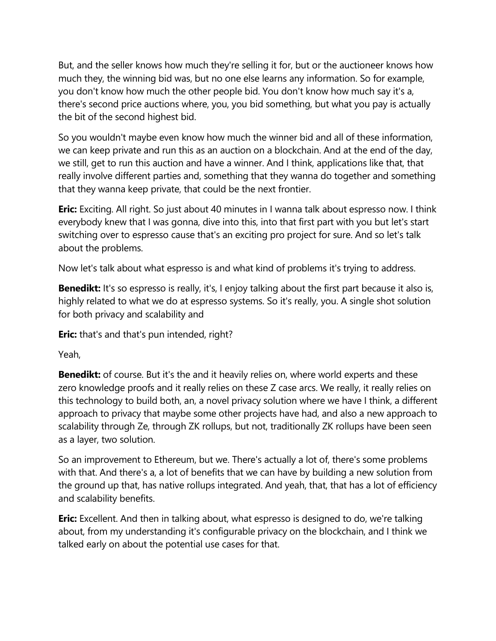But, and the seller knows how much they're selling it for, but or the auctioneer knows how much they, the winning bid was, but no one else learns any information. So for example, you don't know how much the other people bid. You don't know how much say it's a, there's second price auctions where, you, you bid something, but what you pay is actually the bit of the second highest bid.

So you wouldn't maybe even know how much the winner bid and all of these information, we can keep private and run this as an auction on a blockchain. And at the end of the day, we still, get to run this auction and have a winner. And I think, applications like that, that really involve different parties and, something that they wanna do together and something that they wanna keep private, that could be the next frontier.

**Eric:** Exciting. All right. So just about 40 minutes in I wanna talk about espresso now. I think everybody knew that I was gonna, dive into this, into that first part with you but let's start switching over to espresso cause that's an exciting pro project for sure. And so let's talk about the problems.

Now let's talk about what espresso is and what kind of problems it's trying to address.

**Benedikt:** It's so espresso is really, it's, I enjoy talking about the first part because it also is, highly related to what we do at espresso systems. So it's really, you. A single shot solution for both privacy and scalability and

**Eric:** that's and that's pun intended, right?

Yeah,

**Benedikt:** of course. But it's the and it heavily relies on, where world experts and these zero knowledge proofs and it really relies on these Z case arcs. We really, it really relies on this technology to build both, an, a novel privacy solution where we have I think, a different approach to privacy that maybe some other projects have had, and also a new approach to scalability through Ze, through ZK rollups, but not, traditionally ZK rollups have been seen as a layer, two solution.

So an improvement to Ethereum, but we. There's actually a lot of, there's some problems with that. And there's a, a lot of benefits that we can have by building a new solution from the ground up that, has native rollups integrated. And yeah, that, that has a lot of efficiency and scalability benefits.

**Eric:** Excellent. And then in talking about, what espresso is designed to do, we're talking about, from my understanding it's configurable privacy on the blockchain, and I think we talked early on about the potential use cases for that.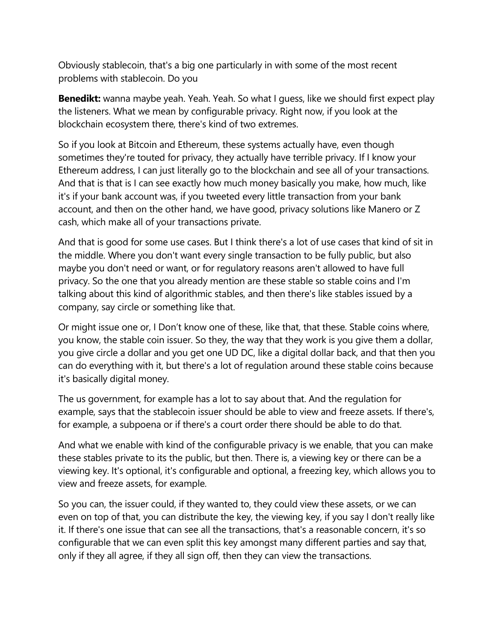Obviously stablecoin, that's a big one particularly in with some of the most recent problems with stablecoin. Do you

**Benedikt:** wanna maybe yeah. Yeah. Yeah. So what I quess, like we should first expect play the listeners. What we mean by configurable privacy. Right now, if you look at the blockchain ecosystem there, there's kind of two extremes.

So if you look at Bitcoin and Ethereum, these systems actually have, even though sometimes they're touted for privacy, they actually have terrible privacy. If I know your Ethereum address, I can just literally go to the blockchain and see all of your transactions. And that is that is I can see exactly how much money basically you make, how much, like it's if your bank account was, if you tweeted every little transaction from your bank account, and then on the other hand, we have good, privacy solutions like Manero or Z cash, which make all of your transactions private.

And that is good for some use cases. But I think there's a lot of use cases that kind of sit in the middle. Where you don't want every single transaction to be fully public, but also maybe you don't need or want, or for regulatory reasons aren't allowed to have full privacy. So the one that you already mention are these stable so stable coins and I'm talking about this kind of algorithmic stables, and then there's like stables issued by a company, say circle or something like that.

Or might issue one or, I Don't know one of these, like that, that these. Stable coins where, you know, the stable coin issuer. So they, the way that they work is you give them a dollar, you give circle a dollar and you get one UD DC, like a digital dollar back, and that then you can do everything with it, but there's a lot of regulation around these stable coins because it's basically digital money.

The us government, for example has a lot to say about that. And the regulation for example, says that the stablecoin issuer should be able to view and freeze assets. If there's, for example, a subpoena or if there's a court order there should be able to do that.

And what we enable with kind of the configurable privacy is we enable, that you can make these stables private to its the public, but then. There is, a viewing key or there can be a viewing key. It's optional, it's configurable and optional, a freezing key, which allows you to view and freeze assets, for example.

So you can, the issuer could, if they wanted to, they could view these assets, or we can even on top of that, you can distribute the key, the viewing key, if you say I don't really like it. If there's one issue that can see all the transactions, that's a reasonable concern, it's so configurable that we can even split this key amongst many different parties and say that, only if they all agree, if they all sign off, then they can view the transactions.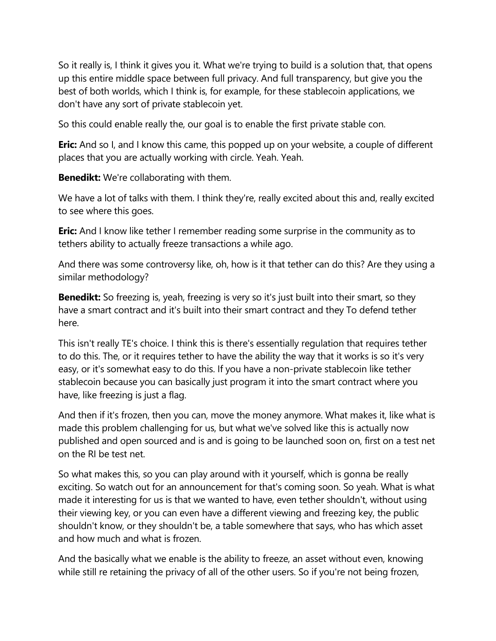So it really is, I think it gives you it. What we're trying to build is a solution that, that opens up this entire middle space between full privacy. And full transparency, but give you the best of both worlds, which I think is, for example, for these stablecoin applications, we don't have any sort of private stablecoin yet.

So this could enable really the, our goal is to enable the first private stable con.

**Eric:** And so I, and I know this came, this popped up on your website, a couple of different places that you are actually working with circle. Yeah. Yeah.

**Benedikt:** We're collaborating with them.

We have a lot of talks with them. I think they're, really excited about this and, really excited to see where this goes.

**Eric:** And I know like tether I remember reading some surprise in the community as to tethers ability to actually freeze transactions a while ago.

And there was some controversy like, oh, how is it that tether can do this? Are they using a similar methodology?

**Benedikt:** So freezing is, yeah, freezing is very so it's just built into their smart, so they have a smart contract and it's built into their smart contract and they To defend tether here.

This isn't really TE's choice. I think this is there's essentially regulation that requires tether to do this. The, or it requires tether to have the ability the way that it works is so it's very easy, or it's somewhat easy to do this. If you have a non-private stablecoin like tether stablecoin because you can basically just program it into the smart contract where you have, like freezing is just a flag.

And then if it's frozen, then you can, move the money anymore. What makes it, like what is made this problem challenging for us, but what we've solved like this is actually now published and open sourced and is and is going to be launched soon on, first on a test net on the RI be test net.

So what makes this, so you can play around with it yourself, which is gonna be really exciting. So watch out for an announcement for that's coming soon. So yeah. What is what made it interesting for us is that we wanted to have, even tether shouldn't, without using their viewing key, or you can even have a different viewing and freezing key, the public shouldn't know, or they shouldn't be, a table somewhere that says, who has which asset and how much and what is frozen.

And the basically what we enable is the ability to freeze, an asset without even, knowing while still re retaining the privacy of all of the other users. So if you're not being frozen,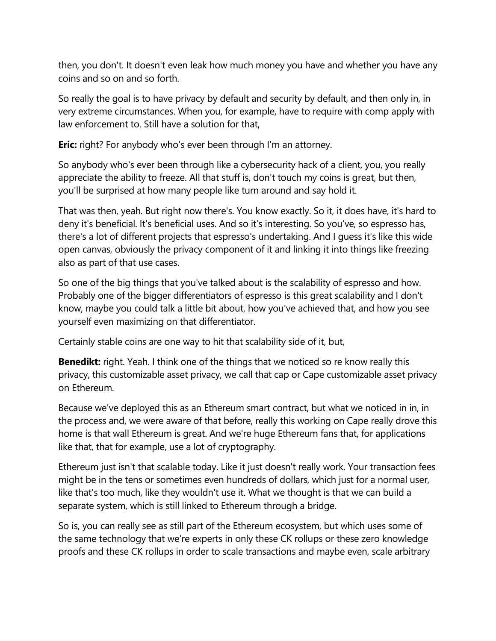then, you don't. It doesn't even leak how much money you have and whether you have any coins and so on and so forth.

So really the goal is to have privacy by default and security by default, and then only in, in very extreme circumstances. When you, for example, have to require with comp apply with law enforcement to. Still have a solution for that,

**Eric:** right? For anybody who's ever been through I'm an attorney.

So anybody who's ever been through like a cybersecurity hack of a client, you, you really appreciate the ability to freeze. All that stuff is, don't touch my coins is great, but then, you'll be surprised at how many people like turn around and say hold it.

That was then, yeah. But right now there's. You know exactly. So it, it does have, it's hard to deny it's beneficial. It's beneficial uses. And so it's interesting. So you've, so espresso has, there's a lot of different projects that espresso's undertaking. And I guess it's like this wide open canvas, obviously the privacy component of it and linking it into things like freezing also as part of that use cases.

So one of the big things that you've talked about is the scalability of espresso and how. Probably one of the bigger differentiators of espresso is this great scalability and I don't know, maybe you could talk a little bit about, how you've achieved that, and how you see yourself even maximizing on that differentiator.

Certainly stable coins are one way to hit that scalability side of it, but,

**Benedikt:** right. Yeah. I think one of the things that we noticed so re know really this privacy, this customizable asset privacy, we call that cap or Cape customizable asset privacy on Ethereum.

Because we've deployed this as an Ethereum smart contract, but what we noticed in in, in the process and, we were aware of that before, really this working on Cape really drove this home is that wall Ethereum is great. And we're huge Ethereum fans that, for applications like that, that for example, use a lot of cryptography.

Ethereum just isn't that scalable today. Like it just doesn't really work. Your transaction fees might be in the tens or sometimes even hundreds of dollars, which just for a normal user, like that's too much, like they wouldn't use it. What we thought is that we can build a separate system, which is still linked to Ethereum through a bridge.

So is, you can really see as still part of the Ethereum ecosystem, but which uses some of the same technology that we're experts in only these CK rollups or these zero knowledge proofs and these CK rollups in order to scale transactions and maybe even, scale arbitrary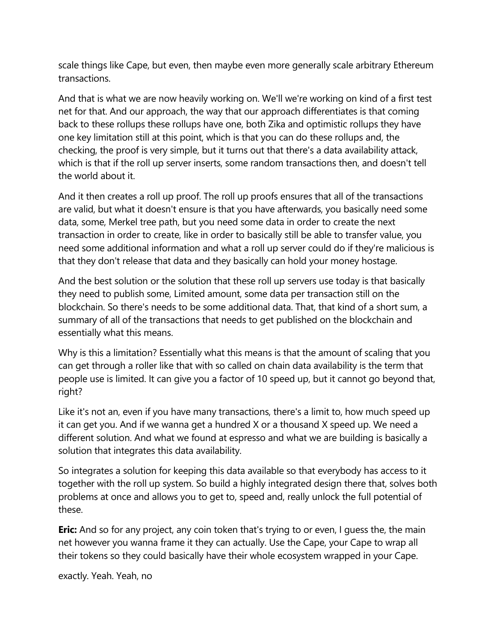scale things like Cape, but even, then maybe even more generally scale arbitrary Ethereum transactions.

And that is what we are now heavily working on. We'll we're working on kind of a first test net for that. And our approach, the way that our approach differentiates is that coming back to these rollups these rollups have one, both Zika and optimistic rollups they have one key limitation still at this point, which is that you can do these rollups and, the checking, the proof is very simple, but it turns out that there's a data availability attack, which is that if the roll up server inserts, some random transactions then, and doesn't tell the world about it.

And it then creates a roll up proof. The roll up proofs ensures that all of the transactions are valid, but what it doesn't ensure is that you have afterwards, you basically need some data, some, Merkel tree path, but you need some data in order to create the next transaction in order to create, like in order to basically still be able to transfer value, you need some additional information and what a roll up server could do if they're malicious is that they don't release that data and they basically can hold your money hostage.

And the best solution or the solution that these roll up servers use today is that basically they need to publish some, Limited amount, some data per transaction still on the blockchain. So there's needs to be some additional data. That, that kind of a short sum, a summary of all of the transactions that needs to get published on the blockchain and essentially what this means.

Why is this a limitation? Essentially what this means is that the amount of scaling that you can get through a roller like that with so called on chain data availability is the term that people use is limited. It can give you a factor of 10 speed up, but it cannot go beyond that, right?

Like it's not an, even if you have many transactions, there's a limit to, how much speed up it can get you. And if we wanna get a hundred X or a thousand X speed up. We need a different solution. And what we found at espresso and what we are building is basically a solution that integrates this data availability.

So integrates a solution for keeping this data available so that everybody has access to it together with the roll up system. So build a highly integrated design there that, solves both problems at once and allows you to get to, speed and, really unlock the full potential of these.

**Eric:** And so for any project, any coin token that's trying to or even, I guess the, the main net however you wanna frame it they can actually. Use the Cape, your Cape to wrap all their tokens so they could basically have their whole ecosystem wrapped in your Cape.

exactly. Yeah. Yeah, no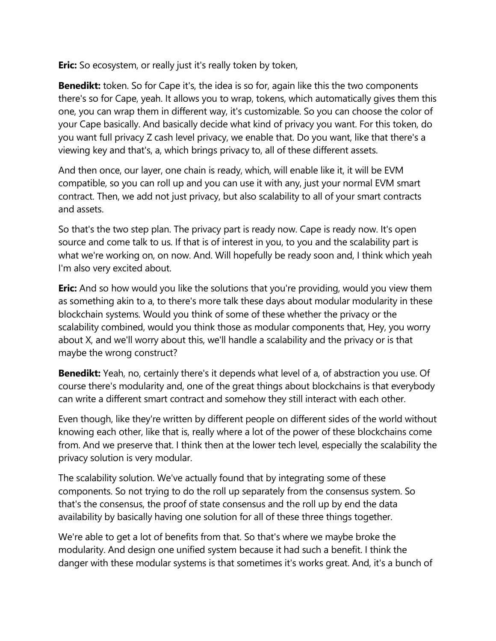**Eric:** So ecosystem, or really just it's really token by token,

**Benedikt:** token. So for Cape it's, the idea is so for, again like this the two components there's so for Cape, yeah. It allows you to wrap, tokens, which automatically gives them this one, you can wrap them in different way, it's customizable. So you can choose the color of your Cape basically. And basically decide what kind of privacy you want. For this token, do you want full privacy Z cash level privacy, we enable that. Do you want, like that there's a viewing key and that's, a, which brings privacy to, all of these different assets.

And then once, our layer, one chain is ready, which, will enable like it, it will be EVM compatible, so you can roll up and you can use it with any, just your normal EVM smart contract. Then, we add not just privacy, but also scalability to all of your smart contracts and assets.

So that's the two step plan. The privacy part is ready now. Cape is ready now. It's open source and come talk to us. If that is of interest in you, to you and the scalability part is what we're working on, on now. And. Will hopefully be ready soon and, I think which yeah I'm also very excited about.

**Eric:** And so how would you like the solutions that you're providing, would you view them as something akin to a, to there's more talk these days about modular modularity in these blockchain systems. Would you think of some of these whether the privacy or the scalability combined, would you think those as modular components that, Hey, you worry about X, and we'll worry about this, we'll handle a scalability and the privacy or is that maybe the wrong construct?

**Benedikt:** Yeah, no, certainly there's it depends what level of a, of abstraction you use. Of course there's modularity and, one of the great things about blockchains is that everybody can write a different smart contract and somehow they still interact with each other.

Even though, like they're written by different people on different sides of the world without knowing each other, like that is, really where a lot of the power of these blockchains come from. And we preserve that. I think then at the lower tech level, especially the scalability the privacy solution is very modular.

The scalability solution. We've actually found that by integrating some of these components. So not trying to do the roll up separately from the consensus system. So that's the consensus, the proof of state consensus and the roll up by end the data availability by basically having one solution for all of these three things together.

We're able to get a lot of benefits from that. So that's where we maybe broke the modularity. And design one unified system because it had such a benefit. I think the danger with these modular systems is that sometimes it's works great. And, it's a bunch of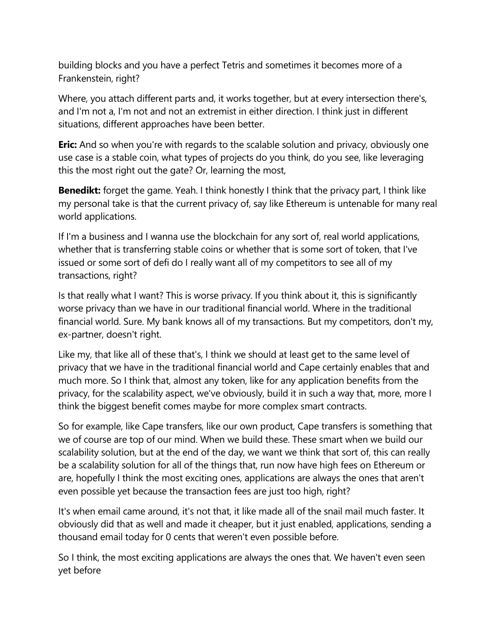building blocks and you have a perfect Tetris and sometimes it becomes more of a Frankenstein, right?

Where, you attach different parts and, it works together, but at every intersection there's, and I'm not a, I'm not and not an extremist in either direction. I think just in different situations, different approaches have been better.

**Eric:** And so when you're with regards to the scalable solution and privacy, obviously one use case is a stable coin, what types of projects do you think, do you see, like leveraging this the most right out the gate? Or, learning the most,

**Benedikt:** forget the game. Yeah. I think honestly I think that the privacy part, I think like my personal take is that the current privacy of, say like Ethereum is untenable for many real world applications.

If I'm a business and I wanna use the blockchain for any sort of, real world applications, whether that is transferring stable coins or whether that is some sort of token, that I've issued or some sort of defi do I really want all of my competitors to see all of my transactions, right?

Is that really what I want? This is worse privacy. If you think about it, this is significantly worse privacy than we have in our traditional financial world. Where in the traditional financial world. Sure. My bank knows all of my transactions. But my competitors, don't my, ex-partner, doesn't right.

Like my, that like all of these that's, I think we should at least get to the same level of privacy that we have in the traditional financial world and Cape certainly enables that and much more. So I think that, almost any token, like for any application benefits from the privacy, for the scalability aspect, we've obviously, build it in such a way that, more, more I think the biggest benefit comes maybe for more complex smart contracts.

So for example, like Cape transfers, like our own product, Cape transfers is something that we of course are top of our mind. When we build these. These smart when we build our scalability solution, but at the end of the day, we want we think that sort of, this can really be a scalability solution for all of the things that, run now have high fees on Ethereum or are, hopefully I think the most exciting ones, applications are always the ones that aren't even possible yet because the transaction fees are just too high, right?

It's when email came around, it's not that, it like made all of the snail mail much faster. It obviously did that as well and made it cheaper, but it just enabled, applications, sending a thousand email today for 0 cents that weren't even possible before.

So I think, the most exciting applications are always the ones that. We haven't even seen yet before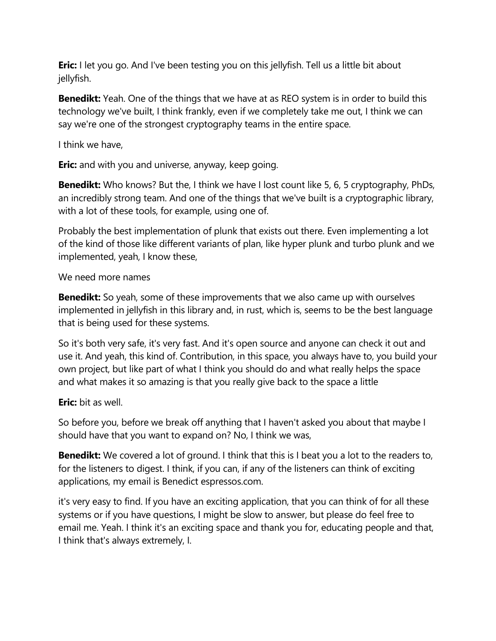**Eric:** I let you go. And I've been testing you on this jellyfish. Tell us a little bit about jellyfish.

**Benedikt:** Yeah. One of the things that we have at as REO system is in order to build this technology we've built, I think frankly, even if we completely take me out, I think we can say we're one of the strongest cryptography teams in the entire space.

I think we have,

**Eric:** and with you and universe, anyway, keep going.

**Benedikt:** Who knows? But the, I think we have I lost count like 5, 6, 5 cryptography, PhDs, an incredibly strong team. And one of the things that we've built is a cryptographic library, with a lot of these tools, for example, using one of.

Probably the best implementation of plunk that exists out there. Even implementing a lot of the kind of those like different variants of plan, like hyper plunk and turbo plunk and we implemented, yeah, I know these,

We need more names

**Benedikt:** So yeah, some of these improvements that we also came up with ourselves implemented in jellyfish in this library and, in rust, which is, seems to be the best language that is being used for these systems.

So it's both very safe, it's very fast. And it's open source and anyone can check it out and use it. And yeah, this kind of. Contribution, in this space, you always have to, you build your own project, but like part of what I think you should do and what really helps the space and what makes it so amazing is that you really give back to the space a little

**Eric:** bit as well.

So before you, before we break off anything that I haven't asked you about that maybe I should have that you want to expand on? No, I think we was,

**Benedikt:** We covered a lot of ground. I think that this is I beat you a lot to the readers to, for the listeners to digest. I think, if you can, if any of the listeners can think of exciting applications, my email is Benedict espressos.com.

it's very easy to find. If you have an exciting application, that you can think of for all these systems or if you have questions, I might be slow to answer, but please do feel free to email me. Yeah. I think it's an exciting space and thank you for, educating people and that, I think that's always extremely, I.